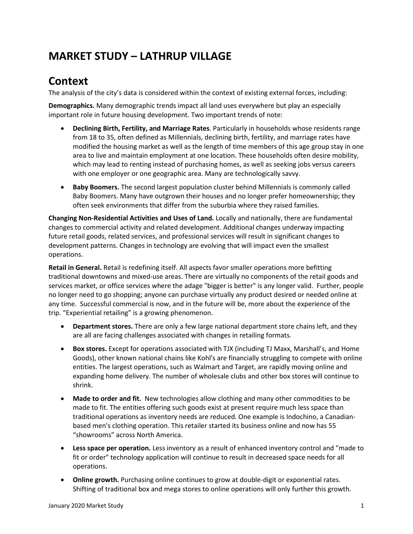# **MARKET STUDY – LATHRUP VILLAGE**

# **Context**

The analysis of the city's data is considered within the context of existing external forces, including:

**Demographics.** Many demographic trends impact all land uses everywhere but play an especially important role in future housing development. Two important trends of note:

- **Declining Birth, Fertility, and Marriage Rates**. Particularly in households whose residents range from 18 to 35, often defined as Millennials, declining birth, fertility, and marriage rates have modified the housing market as well as the length of time members of this age group stay in one area to live and maintain employment at one location. These households often desire mobility, which may lead to renting instead of purchasing homes, as well as seeking jobs versus careers with one employer or one geographic area. Many are technologically savvy.
- **Baby Boomers.** The second largest population cluster behind Millennials is commonly called Baby Boomers. Many have outgrown their houses and no longer prefer homeownership; they often seek environments that differ from the suburbia where they raised families.

**Changing Non-Residential Activities and Uses of Land.** Locally and nationally, there are fundamental changes to commercial activity and related development. Additional changes underway impacting future retail goods, related services, and professional services will result in significant changes to development patterns. Changes in technology are evolving that will impact even the smallest operations.

**Retail in General.** Retail is redefining itself. All aspects favor smaller operations more befitting traditional downtowns and mixed-use areas. There are virtually no components of the retail goods and services market, or office services where the adage "bigger is better" is any longer valid. Further, people no longer need to go shopping; anyone can purchase virtually any product desired or needed online at any time. Successful commercial is now, and in the future will be, more about the experience of the trip. "Experiential retailing" is a growing phenomenon.

- **Department stores.** There are only a few large national department store chains left, and they are all are facing challenges associated with changes in retailing formats.
- **Box stores.** Except for operations associated with TJX (including TJ Maxx, Marshall's, and Home Goods), other known national chains like Kohl's are financially struggling to compete with online entities. The largest operations, such as Walmart and Target, are rapidly moving online and expanding home delivery. The number of wholesale clubs and other box stores will continue to shrink.
- **Made to order and fit.** New technologies allow clothing and many other commodities to be made to fit. The entities offering such goods exist at present require much less space than traditional operations as inventory needs are reduced. One example is Indochino, a Canadianbased men's clothing operation. This retailer started its business online and now has 55 "showrooms" across North America.
- **Less space per operation.** Less inventory as a result of enhanced inventory control and "made to fit or order" technology application will continue to result in decreased space needs for all operations.
- **Online growth.** Purchasing online continues to grow at double-digit or exponential rates. Shifting of traditional box and mega stores to online operations will only further this growth.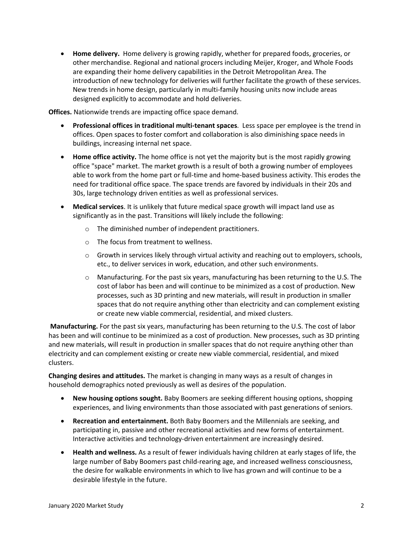• **Home delivery.** Home delivery is growing rapidly, whether for prepared foods, groceries, or other merchandise. Regional and national grocers including Meijer, Kroger, and Whole Foods are expanding their home delivery capabilities in the Detroit Metropolitan Area. The introduction of new technology for deliveries will further facilitate the growth of these services. New trends in home design, particularly in multi-family housing units now include areas designed explicitly to accommodate and hold deliveries.

**Offices.** Nationwide trends are impacting office space demand.

- **Professional offices in traditional multi-tenant spaces**. Less space per employee is the trend in offices. Open spaces to foster comfort and collaboration is also diminishing space needs in buildings, increasing internal net space.
- **Home office activity.** The home office is not yet the majority but is the most rapidly growing office "space" market. The market growth is a result of both a growing number of employees able to work from the home part or full-time and home-based business activity. This erodes the need for traditional office space. The space trends are favored by individuals in their 20s and 30s, large technology driven entities as well as professional services.
- **Medical services**. It is unlikely that future medical space growth will impact land use as significantly as in the past. Transitions will likely include the following:
	- o The diminished number of independent practitioners.
	- o The focus from treatment to wellness.
	- $\circ$  Growth in services likely through virtual activity and reaching out to employers, schools, etc., to deliver services in work, education, and other such environments.
	- $\circ$  Manufacturing. For the past six years, manufacturing has been returning to the U.S. The cost of labor has been and will continue to be minimized as a cost of production. New processes, such as 3D printing and new materials, will result in production in smaller spaces that do not require anything other than electricity and can complement existing or create new viable commercial, residential, and mixed clusters.

**Manufacturing.** For the past six years, manufacturing has been returning to the U.S. The cost of labor has been and will continue to be minimized as a cost of production. New processes, such as 3D printing and new materials, will result in production in smaller spaces that do not require anything other than electricity and can complement existing or create new viable commercial, residential, and mixed clusters.

**Changing desires and attitudes.** The market is changing in many ways as a result of changes in household demographics noted previously as well as desires of the population.

- **New housing options sought.** Baby Boomers are seeking different housing options, shopping experiences, and living environments than those associated with past generations of seniors.
- **Recreation and entertainment.** Both Baby Boomers and the Millennials are seeking, and participating in, passive and other recreational activities and new forms of entertainment. Interactive activities and technology-driven entertainment are increasingly desired.
- **Health and wellness.** As a result of fewer individuals having children at early stages of life, the large number of Baby Boomers past child-rearing age, and increased wellness consciousness, the desire for walkable environments in which to live has grown and will continue to be a desirable lifestyle in the future.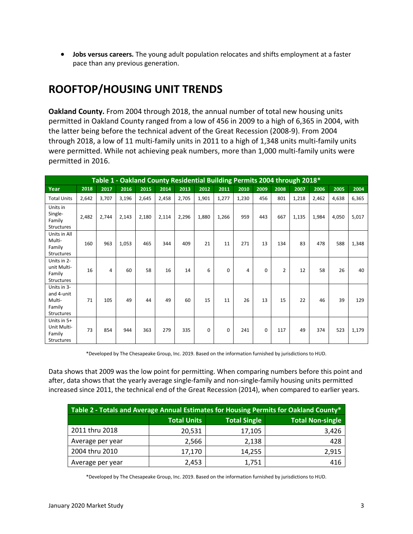• **Jobs versus careers.** The young adult population relocates and shifts employment at a faster pace than any previous generation.

# **ROOFTOP/HOUSING UNIT TRENDS**

**Oakland County.** From 2004 through 2018, the annual number of total new housing units permitted in Oakland County ranged from a low of 456 in 2009 to a high of 6,365 in 2004, with the latter being before the technical advent of the Great Recession (2008-9). From 2004 through 2018, a low of 11 multi-family units in 2011 to a high of 1,348 units multi-family units were permitted. While not achieving peak numbers, more than 1,000 multi-family units were permitted in 2016.

|                                                                    | Table 1 - Oakland County Residential Building Permits 2004 through 2018* |       |       |       |       |       |       |       |       |          |      |       |       |       |       |
|--------------------------------------------------------------------|--------------------------------------------------------------------------|-------|-------|-------|-------|-------|-------|-------|-------|----------|------|-------|-------|-------|-------|
| Year                                                               | 2018                                                                     | 2017  | 2016  | 2015  | 2014  | 2013  | 2012  | 2011  | 2010  | 2009     | 2008 | 2007  | 2006  | 2005  | 2004  |
| <b>Total Units</b>                                                 | 2,642                                                                    | 3,707 | 3,196 | 2,645 | 2,458 | 2,705 | 1,901 | 1,277 | 1,230 | 456      | 801  | 1,218 | 2,462 | 4,638 | 6,365 |
| Units in<br>Single-<br>Family<br><b>Structures</b>                 | 2,482                                                                    | 2,744 | 2,143 | 2,180 | 2,114 | 2,296 | 1,880 | 1,266 | 959   | 443      | 667  | 1,135 | 1,984 | 4,050 | 5,017 |
| Units in All<br>Multi-<br>Family<br><b>Structures</b>              | 160                                                                      | 963   | 1,053 | 465   | 344   | 409   | 21    | 11    | 271   | 13       | 134  | 83    | 478   | 588   | 1,348 |
| Units in 2-<br>unit Multi-<br>Family<br><b>Structures</b>          | 16                                                                       | 4     | 60    | 58    | 16    | 14    | 6     | 0     | 4     | 0        | 2    | 12    | 58    | 26    | 40    |
| Units in 3-<br>and 4-unit<br>Multi-<br>Family<br><b>Structures</b> | 71                                                                       | 105   | 49    | 44    | 49    | 60    | 15    | 11    | 26    | 13       | 15   | 22    | 46    | 39    | 129   |
| Units in 5+<br>Unit Multi-<br>Family<br>Structures                 | 73                                                                       | 854   | 944   | 363   | 279   | 335   | 0     | 0     | 241   | $\Omega$ | 117  | 49    | 374   | 523   | 1,179 |

\*Developed by The Chesapeake Group, Inc. 2019. Based on the information furnished by jurisdictions to HUD.

Data shows that 2009 was the low point for permitting. When comparing numbers before this point and after, data shows that the yearly average single-family and non-single-family housing units permitted increased since 2011, the technical end of the Great Recession (2014), when compared to earlier years.

| Table 2 - Totals and Average Annual Estimates for Housing Permits for Oakland County* |                    |                     |                         |  |
|---------------------------------------------------------------------------------------|--------------------|---------------------|-------------------------|--|
|                                                                                       | <b>Total Units</b> | <b>Total Single</b> | <b>Total Non-single</b> |  |
| 2011 thru 2018                                                                        | 20,531             | 17,105              | 3,426                   |  |
| Average per year                                                                      | 2,566              | 2,138               | 428                     |  |
| 2004 thru 2010                                                                        | 17,170             | 14,255              | 2,915                   |  |
| Average per year                                                                      | 2,453              | 1,751               | 416                     |  |

\*Developed by The Chesapeake Group, Inc. 2019. Based on the information furnished by jurisdictions to HUD.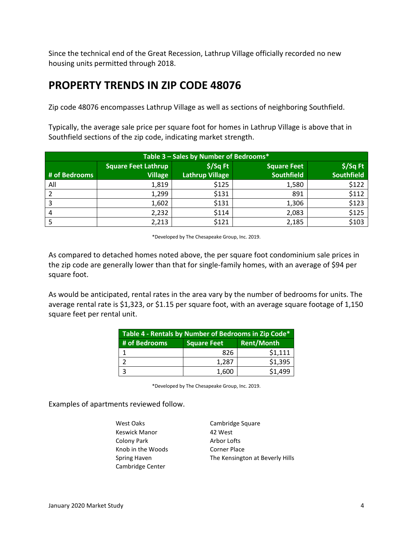Since the technical end of the Great Recession, Lathrup Village officially recorded no new housing units permitted through 2018.

## **PROPERTY TRENDS IN ZIP CODE 48076**

Zip code 48076 encompasses Lathrup Village as well as sections of neighboring Southfield.

Typically, the average sale price per square foot for homes in Lathrup Village is above that in Southfield sections of the zip code, indicating market strength.

| Table 3 - Sales by Number of Bedrooms* |                            |                        |                    |                   |  |  |
|----------------------------------------|----------------------------|------------------------|--------------------|-------------------|--|--|
|                                        | <b>Square Feet Lathrup</b> | $$$ /Sq Ft             | <b>Square Feet</b> | $$$ /Sq Ft        |  |  |
| # of Bedrooms                          | <b>Village</b>             | <b>Lathrup Village</b> | <b>Southfield</b>  | <b>Southfield</b> |  |  |
| All                                    | 1,819                      | \$125                  | 1,580              | \$122             |  |  |
|                                        | 1,299                      | \$131                  | 891                | \$112             |  |  |
|                                        | 1,602                      | \$131                  | 1,306              | \$123             |  |  |
| 4                                      | 2,232                      | \$114                  | 2,083              | \$125             |  |  |
|                                        | 2,213                      | \$121                  | 2,185              | \$103             |  |  |

\*Developed by The Chesapeake Group, Inc. 2019.

As compared to detached homes noted above, the per square foot condominium sale prices in the zip code are generally lower than that for single-family homes, with an average of \$94 per square foot.

As would be anticipated, rental rates in the area vary by the number of bedrooms for units. The average rental rate is \$1,323, or \$1.15 per square foot, with an average square footage of 1,150 square feet per rental unit.

| Table 4 - Rentals by Number of Bedrooms in Zip Code* |                    |                   |  |  |
|------------------------------------------------------|--------------------|-------------------|--|--|
| # of Bedrooms                                        | <b>Square Feet</b> | <b>Rent/Month</b> |  |  |
|                                                      | 826                | \$1,111           |  |  |
|                                                      | 1.287              | \$1,395           |  |  |
|                                                      | 1,600              | \$1,499           |  |  |

\*Developed by The Chesapeake Group, Inc. 2019.

Examples of apartments reviewed follow.

West Oaks Cambridge Square Keswick Manor 42 West Colony Park Arbor Lofts Knob in the Woods Corner Place Cambridge Center

Spring Haven The Kensington at Beverly Hills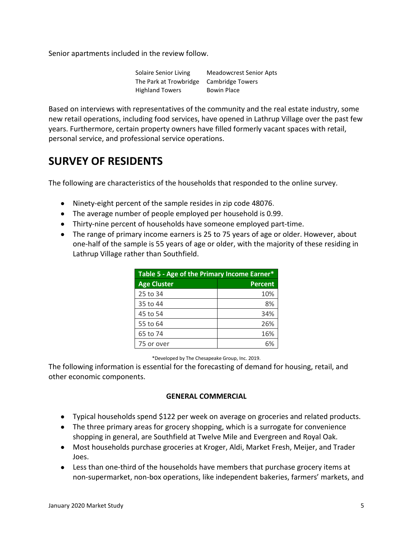Senior apartments included in the review follow.

Solaire Senior Living Meadowcrest Senior Apts The Park at Trowbridge Cambridge Towers Highland Towers Bowin Place

Based on interviews with representatives of the community and the real estate industry, some new retail operations, including food services, have opened in Lathrup Village over the past few years. Furthermore, certain property owners have filled formerly vacant spaces with retail, personal service, and professional service operations.

# **SURVEY OF RESIDENTS**

The following are characteristics of the households that responded to the online survey.

- Ninety-eight percent of the sample resides in zip code 48076.
- The average number of people employed per household is 0.99.
- Thirty-nine percent of households have someone employed part-time.
- The range of primary income earners is 25 to 75 years of age or older. However, about one-half of the sample is 55 years of age or older, with the majority of these residing in Lathrup Village rather than Southfield.

| Table 5 - Age of the Primary Income Earner* |         |  |
|---------------------------------------------|---------|--|
| <b>Age Cluster</b>                          | Percent |  |
| 25 to 34                                    | 10%     |  |
| 35 to 44                                    | 8%      |  |
| 45 to 54                                    | 34%     |  |
| 55 to 64                                    | 26%     |  |
| 65 to 74                                    | 16%     |  |
| 75 or over                                  | 6%      |  |

\*Developed by The Chesapeake Group, Inc. 2019.

The following information is essential for the forecasting of demand for housing, retail, and other economic components.

### **GENERAL COMMERCIAL**

- Typical households spend \$122 per week on average on groceries and related products.
- The three primary areas for grocery shopping, which is a surrogate for convenience shopping in general, are Southfield at Twelve Mile and Evergreen and Royal Oak.
- Most households purchase groceries at Kroger, Aldi, Market Fresh, Meijer, and Trader Joes.
- Less than one-third of the households have members that purchase grocery items at non-supermarket, non-box operations, like independent bakeries, farmers' markets, and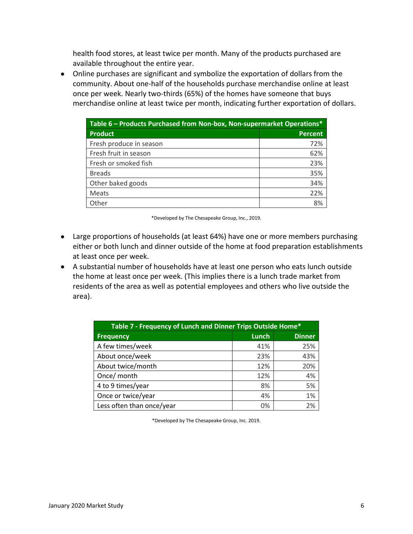health food stores, at least twice per month. Many of the products purchased are available throughout the entire year.

• Online purchases are significant and symbolize the exportation of dollars from the community. About one-half of the households purchase merchandise online at least once per week. Nearly two-thirds (65%) of the homes have someone that buys merchandise online at least twice per month, indicating further exportation of dollars.

| Table 6 – Products Purchased from Non-box, Non-supermarket Operations* |                |  |
|------------------------------------------------------------------------|----------------|--|
| <b>Product</b>                                                         | <b>Percent</b> |  |
| Fresh produce in season                                                | 72%            |  |
| Fresh fruit in season                                                  | 62%            |  |
| Fresh or smoked fish                                                   | 23%            |  |
| <b>Breads</b>                                                          | 35%            |  |
| Other baked goods                                                      | 34%            |  |
| Meats                                                                  | 22%            |  |
| Other                                                                  | 8%             |  |

\*Developed by The Chesapeake Group, Inc., 2019.

- Large proportions of households (at least 64%) have one or more members purchasing either or both lunch and dinner outside of the home at food preparation establishments at least once per week.
- A substantial number of households have at least one person who eats lunch outside the home at least once per week. (This implies there is a lunch trade market from residents of the area as well as potential employees and others who live outside the area).

| Table 7 - Frequency of Lunch and Dinner Trips Outside Home* |              |               |  |
|-------------------------------------------------------------|--------------|---------------|--|
| Frequency                                                   | <b>Lunch</b> | <b>Dinner</b> |  |
| A few times/week                                            | 41%          | 25%           |  |
| About once/week                                             | 23%          | 43%           |  |
| About twice/month                                           | 12%          | 20%           |  |
| Once/ month                                                 | 12%          | 4%            |  |
| 4 to 9 times/year                                           | 8%           | 5%            |  |
| Once or twice/year                                          | 4%           | 1%            |  |
| Less often than once/year                                   | 0%           | 2%            |  |

\*Developed by The Chesapeake Group, Inc. 2019.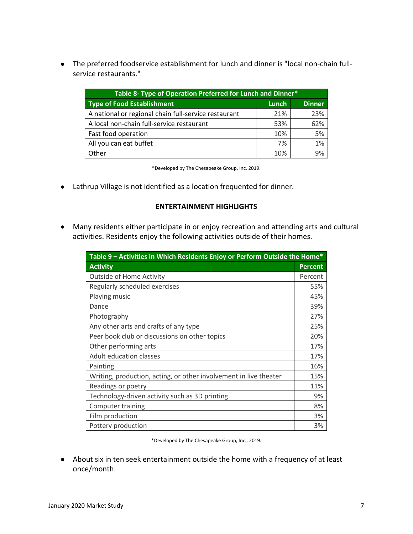• The preferred foodservice establishment for lunch and dinner is "local non-chain fullservice restaurants."

| Table 8- Type of Operation Preferred for Lunch and Dinner* |       |               |  |  |
|------------------------------------------------------------|-------|---------------|--|--|
| <b>Type of Food Establishment</b>                          | Lunch | <b>Dinner</b> |  |  |
| A national or regional chain full-service restaurant       | 21%   | 23%           |  |  |
| A local non-chain full-service restaurant                  | 53%   | 62%           |  |  |
| Fast food operation                                        | 10%   | 5%            |  |  |
| All you can eat buffet                                     | 7%    | 1%            |  |  |
| Other                                                      | 10%   | 9%            |  |  |

\*Developed by The Chesapeake Group, Inc. 2019.

• Lathrup Village is not identified as a location frequented for dinner.

#### **ENTERTAINMENT HIGHLIGHTS**

• Many residents either participate in or enjoy recreation and attending arts and cultural activities. Residents enjoy the following activities outside of their homes.

| Table 9 – Activities in Which Residents Enjoy or Perform Outside the Home* |                |  |  |
|----------------------------------------------------------------------------|----------------|--|--|
| <b>Activity</b>                                                            | <b>Percent</b> |  |  |
| <b>Outside of Home Activity</b>                                            | Percent        |  |  |
| Regularly scheduled exercises                                              | 55%            |  |  |
| Playing music                                                              | 45%            |  |  |
| Dance                                                                      | 39%            |  |  |
| Photography                                                                | 27%            |  |  |
| Any other arts and crafts of any type                                      | 25%            |  |  |
| Peer book club or discussions on other topics                              |                |  |  |
| Other performing arts                                                      | 17%            |  |  |
| <b>Adult education classes</b>                                             | 17%            |  |  |
| Painting                                                                   | 16%            |  |  |
| Writing, production, acting, or other involvement in live theater          | 15%            |  |  |
| Readings or poetry                                                         | 11%            |  |  |
| Technology-driven activity such as 3D printing                             | 9%             |  |  |
| Computer training                                                          |                |  |  |
| Film production                                                            |                |  |  |
| Pottery production                                                         | 3%             |  |  |

\*Developed by The Chesapeake Group, Inc., 2019.

• About six in ten seek entertainment outside the home with a frequency of at least once/month.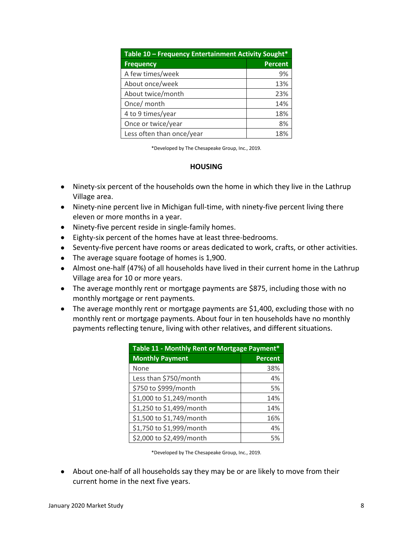| Table 10 - Frequency Entertainment Activity Sought* |         |  |  |
|-----------------------------------------------------|---------|--|--|
| <b>Frequency</b>                                    | Percent |  |  |
| A few times/week                                    | 9%      |  |  |
| About once/week                                     | 13%     |  |  |
| About twice/month                                   | 23%     |  |  |
| Once/ month                                         | 14%     |  |  |
| 4 to 9 times/year                                   | 18%     |  |  |
| Once or twice/year                                  | 8%      |  |  |
| Less often than once/year                           | 18%     |  |  |

#### **HOUSING**

- Ninety-six percent of the households own the home in which they live in the Lathrup Village area.
- Ninety-nine percent live in Michigan full-time, with ninety-five percent living there eleven or more months in a year.
- Ninety-five percent reside in single-family homes.
- Eighty-six percent of the homes have at least three-bedrooms.
- Seventy-five percent have rooms or areas dedicated to work, crafts, or other activities.
- The average square footage of homes is 1,900.
- Almost one-half (47%) of all households have lived in their current home in the Lathrup Village area for 10 or more years.
- The average monthly rent or mortgage payments are \$875, including those with no monthly mortgage or rent payments.
- The average monthly rent or mortgage payments are \$1,400, excluding those with no monthly rent or mortgage payments. About four in ten households have no monthly payments reflecting tenure, living with other relatives, and different situations.

| Table 11 - Monthly Rent or Mortgage Payment* |                |  |  |
|----------------------------------------------|----------------|--|--|
| <b>Monthly Payment</b>                       | <b>Percent</b> |  |  |
| None                                         | 38%            |  |  |
| Less than \$750/month                        | 4%             |  |  |
| \$750 to \$999/month                         | 5%             |  |  |
| \$1,000 to \$1,249/month                     | 14%            |  |  |
| \$1,250 to \$1,499/month                     | 14%            |  |  |
| \$1,500 to \$1,749/month                     | 16%            |  |  |
| \$1,750 to \$1,999/month                     | 4%             |  |  |
| \$2,000 to \$2,499/month                     | 5%             |  |  |

\*Developed by The Chesapeake Group, Inc., 2019.

• About one-half of all households say they may be or are likely to move from their current home in the next five years.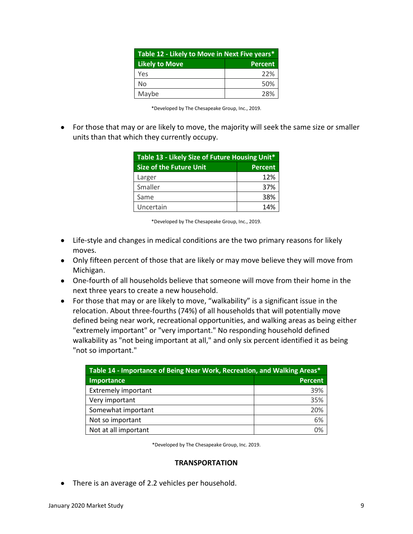| Table 12 - Likely to Move in Next Five years* |                |  |
|-----------------------------------------------|----------------|--|
| <b>Likely to Move</b>                         | <b>Percent</b> |  |
| Yes                                           | 22%            |  |
| No                                            | 50%            |  |
| Maybe                                         | 28%            |  |

|  |  | *Developed by The Chesapeake Group, Inc., 2019. |  |  |  |
|--|--|-------------------------------------------------|--|--|--|
|--|--|-------------------------------------------------|--|--|--|

• For those that may or are likely to move, the majority will seek the same size or smaller units than that which they currently occupy.

| Table 13 - Likely Size of Future Housing Unit*   |     |  |  |
|--------------------------------------------------|-----|--|--|
| <b>Size of the Future Unit</b><br><b>Percent</b> |     |  |  |
| Larger                                           | 12% |  |  |
| Smaller                                          | 37% |  |  |
| Same                                             | 38% |  |  |
| Uncertain                                        | 14% |  |  |

\*Developed by The Chesapeake Group, Inc., 2019.

- Life-style and changes in medical conditions are the two primary reasons for likely moves.
- Only fifteen percent of those that are likely or may move believe they will move from Michigan.
- One-fourth of all households believe that someone will move from their home in the next three years to create a new household.
- For those that may or are likely to move, "walkability" is a significant issue in the relocation. About three-fourths (74%) of all households that will potentially move defined being near work, recreational opportunities, and walking areas as being either "extremely important" or "very important." No responding household defined walkability as "not being important at all," and only six percent identified it as being "not so important."

| Table 14 - Importance of Being Near Work, Recreation, and Walking Areas* |     |  |  |
|--------------------------------------------------------------------------|-----|--|--|
| <b>Percent</b><br><b>Importance</b>                                      |     |  |  |
| <b>Extremely important</b>                                               | 39% |  |  |
| Very important                                                           | 35% |  |  |
| Somewhat important                                                       | 20% |  |  |
| Not so important                                                         | 6%  |  |  |
| Not at all important                                                     | 0%  |  |  |

\*Developed by The Chesapeake Group, Inc. 2019.

#### **TRANSPORTATION**

• There is an average of 2.2 vehicles per household.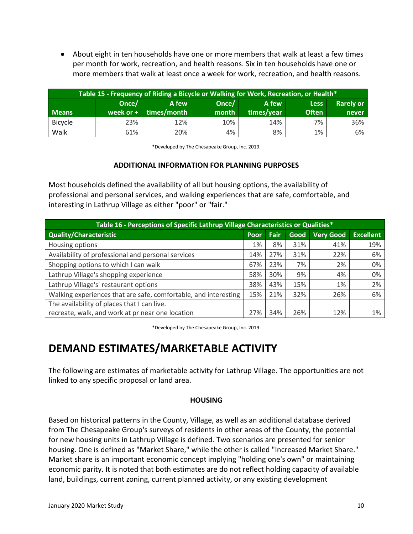• About eight in ten households have one or more members that walk at least a few times per month for work, recreation, and health reasons. Six in ten households have one or more members that walk at least once a week for work, recreation, and health reasons.

| Table 15 - Frequency of Riding a Bicycle or Walking for Work, Recreation, or Health* |             |             |       |            |              |                  |
|--------------------------------------------------------------------------------------|-------------|-------------|-------|------------|--------------|------------------|
|                                                                                      | Once/       | A few.      | Once/ | A few      | <b>Less</b>  | <b>Rarely or</b> |
| <b>Means</b>                                                                         | week or $+$ | times/month | month | times/vear | <b>Often</b> | never            |
| <b>Bicycle</b>                                                                       | 23%         | 12%         | 10%   | 14%        | 7%           | 36%              |
| Walk                                                                                 | 61%         | 20%         | 4%    | 8%         | 1%           | 6%               |

\*Developed by The Chesapeake Group, Inc. 2019.

### **ADDITIONAL INFORMATION FOR PLANNING PURPOSES**

Most households defined the availability of all but housing options, the availability of professional and personal services, and walking experiences that are safe, comfortable, and interesting in Lathrup Village as either "poor" or "fair."

| Table 16 - Perceptions of Specific Lathrup Village Characteristics or Qualities* |      |      |      |                  |                  |
|----------------------------------------------------------------------------------|------|------|------|------------------|------------------|
| <b>Quality/Characteristic</b>                                                    | Poor | Fair | Good | <b>Very Good</b> | <b>Excellent</b> |
| Housing options                                                                  | 1%   | 8%   | 31%  | 41%              | 19%              |
| Availability of professional and personal services                               | 14%  | 27%  | 31%  | 22%              | 6%               |
| Shopping options to which I can walk                                             | 67%  | 23%  | 7%   | 2%               | 0%               |
| Lathrup Village's shopping experience                                            | 58%  | 30%  | 9%   | 4%               | 0%               |
| Lathrup Village's' restaurant options                                            | 38%  | 43%  | 15%  | 1%               | 2%               |
| Walking experiences that are safe, comfortable, and interesting                  | 15%  | 21%  | 32%  | 26%              | 6%               |
| The availability of places that I can live.                                      |      |      |      |                  |                  |
| recreate, walk, and work at pr near one location                                 | 27%  | 34%  | 26%  | 12%              | 1%               |

\*Developed by The Chesapeake Group, Inc. 2019.

# **DEMAND ESTIMATES/MARKETABLE ACTIVITY**

The following are estimates of marketable activity for Lathrup Village. The opportunities are not linked to any specific proposal or land area.

#### **HOUSING**

Based on historical patterns in the County, Village, as well as an additional database derived from The Chesapeake Group's surveys of residents in other areas of the County, the potential for new housing units in Lathrup Village is defined. Two scenarios are presented for senior housing. One is defined as "Market Share," while the other is called "Increased Market Share." Market share is an important economic concept implying "holding one's own" or maintaining economic parity. It is noted that both estimates are do not reflect holding capacity of available land, buildings, current zoning, current planned activity, or any existing development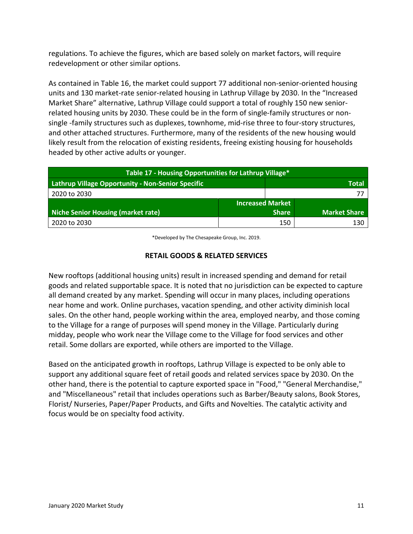regulations. To achieve the figures, which are based solely on market factors, will require redevelopment or other similar options.

As contained in Table 16, the market could support 77 additional non-senior-oriented housing units and 130 market-rate senior-related housing in Lathrup Village by 2030. In the "Increased Market Share" alternative, Lathrup Village could support a total of roughly 150 new seniorrelated housing units by 2030. These could be in the form of single-family structures or nonsingle -family structures such as duplexes, townhome, mid-rise three to four-story structures, and other attached structures. Furthermore, many of the residents of the new housing would likely result from the relocation of existing residents, freeing existing housing for households headed by other active adults or younger.

| Table 17 - Housing Opportunities for Lathrup Village* |                         |              |                     |  |
|-------------------------------------------------------|-------------------------|--------------|---------------------|--|
| Lathrup Village Opportunity - Non-Senior Specific     |                         |              | <b>Total</b>        |  |
| 2020 to 2030                                          |                         |              |                     |  |
|                                                       | <b>Increased Market</b> |              |                     |  |
| <b>Niche Senior Housing (market rate)</b>             |                         | <b>Share</b> | <b>Market Share</b> |  |
| 2020 to 2030                                          |                         | 150          | 130                 |  |

\*Developed by The Chesapeake Group, Inc. 2019.

### **RETAIL GOODS & RELATED SERVICES**

New rooftops (additional housing units) result in increased spending and demand for retail goods and related supportable space. It is noted that no jurisdiction can be expected to capture all demand created by any market. Spending will occur in many places, including operations near home and work. Online purchases, vacation spending, and other activity diminish local sales. On the other hand, people working within the area, employed nearby, and those coming to the Village for a range of purposes will spend money in the Village. Particularly during midday, people who work near the Village come to the Village for food services and other retail. Some dollars are exported, while others are imported to the Village.

Based on the anticipated growth in rooftops, Lathrup Village is expected to be only able to support any additional square feet of retail goods and related services space by 2030. On the other hand, there is the potential to capture exported space in "Food," "General Merchandise," and "Miscellaneous" retail that includes operations such as Barber/Beauty salons, Book Stores, Florist/ Nurseries, Paper/Paper Products, and Gifts and Novelties. The catalytic activity and focus would be on specialty food activity.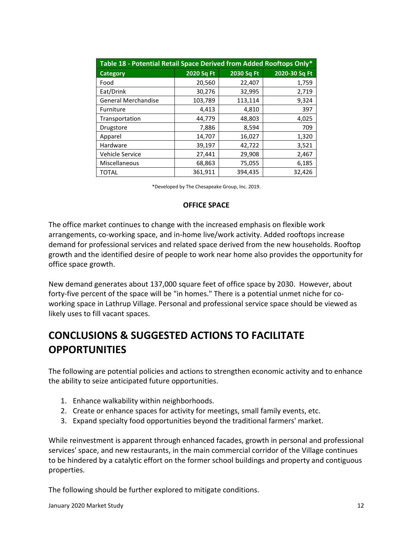| Table 18 - Potential Retail Space Derived from Added Rooftops Only* |            |            |               |  |
|---------------------------------------------------------------------|------------|------------|---------------|--|
| <b>Category</b>                                                     | 2020 Sq Ft | 2030 Sq Ft | 2020-30 Sq Ft |  |
| Food                                                                | 20,560     | 22,407     | 1,759         |  |
| Eat/Drink                                                           | 30,276     | 32,995     | 2,719         |  |
| <b>General Merchandise</b>                                          | 103,789    | 113,114    | 9,324         |  |
| Furniture                                                           | 4,413      | 4,810      | 397           |  |
| Transportation                                                      | 44,779     | 48,803     | 4,025         |  |
| Drugstore                                                           | 7,886      | 8,594      | 709           |  |
| Apparel                                                             | 14,707     | 16,027     | 1,320         |  |
| Hardware                                                            | 39,197     | 42,722     | 3,521         |  |
| <b>Vehicle Service</b>                                              | 27,441     | 29,908     | 2,467         |  |
| Miscellaneous                                                       | 68,863     | 75,055     | 6,185         |  |
| <b>TOTAL</b>                                                        | 361,911    | 394,435    | 32,426        |  |

### **OFFICE SPACE**

The office market continues to change with the increased emphasis on flexible work arrangements, co-working space, and in-home live/work activity. Added rooftops increase demand for professional services and related space derived from the new households. Rooftop growth and the identified desire of people to work near home also provides the opportunity for office space growth.

New demand generates about 137,000 square feet of office space by 2030. However, about forty-five percent of the space will be "in homes." There is a potential unmet niche for coworking space in Lathrup Village. Personal and professional service space should be viewed as likely uses to fill vacant spaces.

# **CONCLUSIONS & SUGGESTED ACTIONS TO FACILITATE OPPORTUNITIES**

The following are potential policies and actions to strengthen economic activity and to enhance the ability to seize anticipated future opportunities.

- 1. Enhance walkability within neighborhoods.
- 2. Create or enhance spaces for activity for meetings, small family events, etc.
- 3. Expand specialty food opportunities beyond the traditional farmers' market.

While reinvestment is apparent through enhanced facades, growth in personal and professional services' space, and new restaurants, in the main commercial corridor of the Village continues to be hindered by a catalytic effort on the former school buildings and property and contiguous properties.

The following should be further explored to mitigate conditions.

January 2020 Market Study 12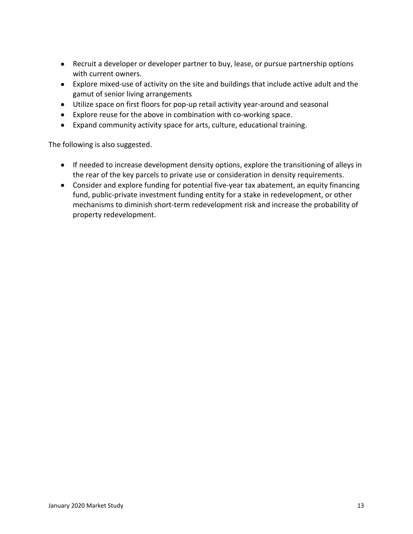- Recruit a developer or developer partner to buy, lease, or pursue partnership options with current owners.
- Explore mixed-use of activity on the site and buildings that include active adult and the gamut of senior living arrangements
- Utilize space on first floors for pop-up retail activity year-around and seasonal
- Explore reuse for the above in combination with co-working space.
- Expand community activity space for arts, culture, educational training.

The following is also suggested.

- If needed to increase development density options, explore the transitioning of alleys in the rear of the key parcels to private use or consideration in density requirements.
- Consider and explore funding for potential five-year tax abatement, an equity financing fund, public-private investment funding entity for a stake in redevelopment, or other mechanisms to diminish short-term redevelopment risk and increase the probability of property redevelopment.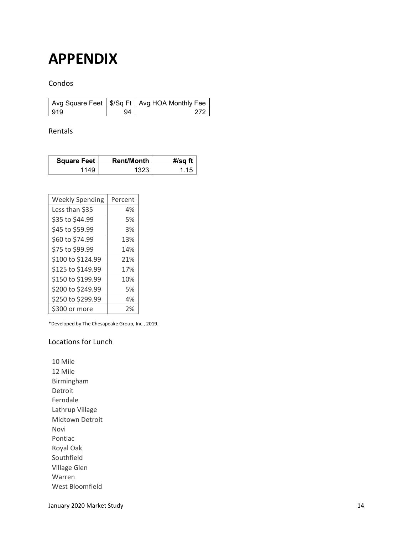# **APPENDIX**

### Condos

|     | Avg Square Feet   \$/Sq Ft   Avg HOA Monthly Fee |
|-----|--------------------------------------------------|
| 919 |                                                  |

#### Rentals

| <b>Square Feet</b> | <b>Rent/Month</b> | #/sq ft |
|--------------------|-------------------|---------|
| 114C               |                   |         |

| <b>Weekly Spending</b> | Percent |
|------------------------|---------|
| Less than \$35         | 4%      |
| \$35 to \$44.99        | 5%      |
| \$45 to \$59.99        | 3%      |
| \$60 to \$74.99        | 13%     |
| \$75 to \$99.99        | 14%     |
| \$100 to \$124.99      | 21%     |
| \$125 to \$149.99      | 17%     |
| \$150 to \$199.99      | 10%     |
| \$200 to \$249.99      | 5%      |
| \$250 to \$299.99      | 4%      |
| \$300 or more          | 2%      |

\*Developed by The Chesapeake Group, Inc., 2019.

### Locations for Lunch

10 Mile 12 Mile Birmingham Detroit Ferndale Lathrup Village Midtown Detroit Novi Pontiac Royal Oak Southfield Village Glen Warren West Bloomfield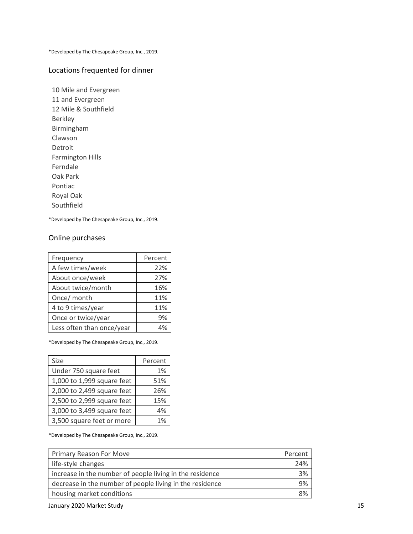### Locations frequented for dinner

10 Mile and Evergreen 11 and Evergreen 12 Mile & Southfield Berkley Birmingham Clawson Detroit Farmington Hills Ferndale Oak Park Pontiac Royal Oak Southfield

\*Developed by The Chesapeake Group, Inc., 2019.

#### Online purchases

| Frequency                 | Percent |
|---------------------------|---------|
| A few times/week          | 22%     |
| About once/week           | 27%     |
| About twice/month         | 16%     |
| Once/ month               | 11%     |
| 4 to 9 times/year         | 11%     |
| Once or twice/year        | 9%      |
| Less often than once/year |         |

\*Developed by The Chesapeake Group, Inc., 2019.

| Size                       | Percent |
|----------------------------|---------|
| Under 750 square feet      | 1%      |
| 1,000 to 1,999 square feet | 51%     |
| 2,000 to 2,499 square feet | 26%     |
| 2,500 to 2,999 square feet | 15%     |
| 3,000 to 3,499 square feet | 4%      |
| 3,500 square feet or more  | 1%      |

\*Developed by The Chesapeake Group, Inc., 2019.

| Primary Reason For Move                                  | Percent |  |  |
|----------------------------------------------------------|---------|--|--|
| life-style changes                                       | 24%     |  |  |
| increase in the number of people living in the residence | 3%      |  |  |
| decrease in the number of people living in the residence | 9%      |  |  |
| housing market conditions                                |         |  |  |

January 2020 Market Study 15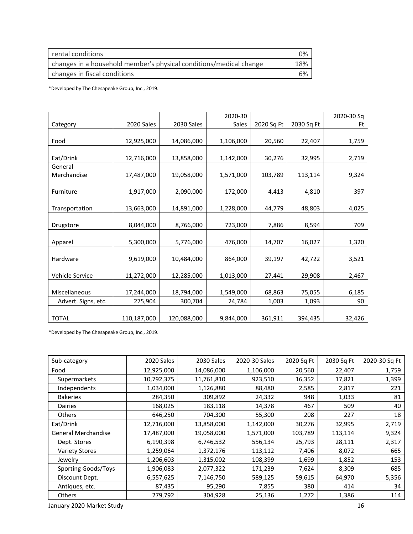| rental conditions                                                  | 0%  |
|--------------------------------------------------------------------|-----|
| changes in a household member's physical conditions/medical change | 18% |
| changes in fiscal conditions                                       | 6%  |

|                     |             |             | 2020-30   |            |            | 2020-30 Sq |
|---------------------|-------------|-------------|-----------|------------|------------|------------|
| Category            | 2020 Sales  | 2030 Sales  | Sales     | 2020 Sq Ft | 2030 Sq Ft | Ft         |
|                     |             |             |           |            |            |            |
| Food                | 12,925,000  | 14,086,000  | 1,106,000 | 20,560     | 22,407     | 1,759      |
|                     |             |             |           |            |            |            |
| Eat/Drink           | 12,716,000  | 13,858,000  | 1,142,000 | 30,276     | 32,995     | 2,719      |
| General             |             |             |           |            |            |            |
| Merchandise         | 17,487,000  | 19,058,000  | 1,571,000 | 103,789    | 113,114    | 9,324      |
|                     |             |             |           |            |            |            |
| Furniture           | 1,917,000   | 2,090,000   | 172,000   | 4,413      | 4,810      | 397        |
|                     |             |             |           |            |            |            |
| Transportation      | 13,663,000  | 14,891,000  | 1,228,000 | 44,779     | 48,803     | 4,025      |
|                     |             |             |           |            |            |            |
| Drugstore           | 8,044,000   | 8,766,000   | 723,000   | 7,886      | 8,594      | 709        |
|                     |             |             |           |            |            |            |
| Apparel             | 5,300,000   | 5,776,000   | 476,000   | 14,707     | 16,027     | 1,320      |
|                     |             |             |           |            |            |            |
| Hardware            | 9,619,000   | 10,484,000  | 864,000   | 39,197     | 42,722     | 3,521      |
|                     |             |             |           |            |            |            |
| Vehicle Service     | 11,272,000  | 12,285,000  | 1,013,000 | 27,441     | 29,908     | 2,467      |
|                     |             |             |           |            |            |            |
| Miscellaneous       | 17,244,000  | 18,794,000  | 1,549,000 | 68,863     | 75,055     | 6,185      |
| Advert. Signs, etc. | 275,904     | 300,704     | 24,784    | 1,003      | 1,093      | 90         |
|                     |             |             |           |            |            |            |
| <b>TOTAL</b>        | 110,187,000 | 120,088,000 | 9,844,000 | 361,911    | 394,435    | 32,426     |

\*Developed by The Chesapeake Group, Inc., 2019.

| Sub-category                    | 2020 Sales | 2030 Sales | 2020-30 Sales | 2020 Sq Ft | 2030 Sq Ft | 2020-30 Sq Ft |
|---------------------------------|------------|------------|---------------|------------|------------|---------------|
| Food                            | 12,925,000 | 14,086,000 | 1,106,000     | 20,560     | 22,407     | 1,759         |
| Supermarkets                    | 10,792,375 | 11,761,810 | 923,510       | 16,352     | 17,821     | 1,399         |
| Independents                    | 1,034,000  | 1,126,880  | 88,480        | 2,585      | 2,817      | 221           |
| <b>Bakeries</b>                 | 284,350    | 309,892    | 24,332        | 948        | 1,033      | 81            |
| <b>Dairies</b>                  | 168,025    | 183,118    | 14,378        | 467        | 509        | 40            |
| Others                          | 646,250    | 704,300    | 55,300        | 208        | 227        | 18            |
| Eat/Drink                       | 12,716,000 | 13,858,000 | 1,142,000     | 30,276     | 32,995     | 2,719         |
| <b>General Merchandise</b>      | 17,487,000 | 19,058,000 | 1,571,000     | 103,789    | 113,114    | 9,324         |
| Dept. Stores                    | 6,190,398  | 6,746,532  | 556,134       | 25,793     | 28,111     | 2,317         |
| <b>Variety Stores</b>           | 1,259,064  | 1,372,176  | 113,112       | 7,406      | 8,072      | 665           |
| Jewelry                         | 1,206,603  | 1,315,002  | 108,399       | 1,699      | 1,852      | 153           |
| <b>Sporting Goods/Toys</b>      | 1,906,083  | 2,077,322  | 171,239       | 7,624      | 8,309      | 685           |
| Discount Dept.                  | 6,557,625  | 7,146,750  | 589,125       | 59,615     | 64,970     | 5,356         |
| Antiques, etc.                  | 87,435     | 95,290     | 7,855         | 380        | 414        | 34            |
| <b>Others</b>                   | 279,792    | 304,928    | 25,136        | 1,272      | 1,386      | 114           |
| 16<br>January 2020 Market Study |            |            |               |            |            |               |